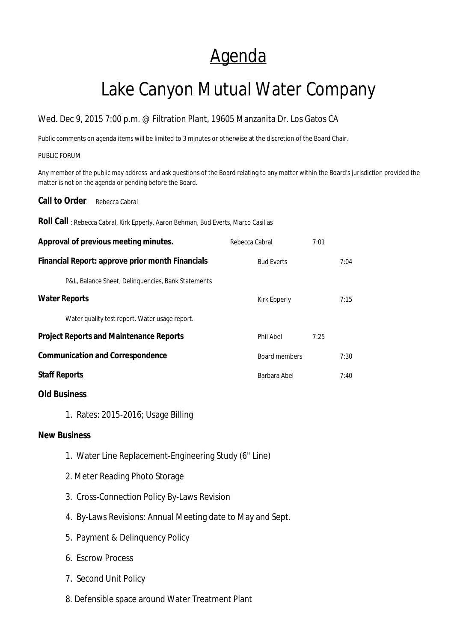## Agenda

# Lake Canyon Mutual Water Company

### Wed. Dec 9, 2015 7:00 p.m. @ Filtration Plant, 19605 Manzanita Dr. Los Gatos CA

Public comments on agenda items will be limited to 3 minutes or otherwise at the discretion of the Board Chair.

#### PUBLIC FORUM

Any member of the public may address and ask questions of the Board relating to any matter within the Board's jurisdiction provided the matter is not on the agenda or pending before the Board.

**Call to Order.** Rebecca Cabral

**Roll Call** : Rebecca Cabral, Kirk Epperly, Aaron Behman, Bud Everts, Marco Casillas

| Approval of previous meeting minutes.              | Rebecca Cabral    | 7:01          |      |
|----------------------------------------------------|-------------------|---------------|------|
| Financial Report: approve prior month Financials   | <b>Bud Everts</b> |               | 7:04 |
| P&L, Balance Sheet, Delinguencies, Bank Statements |                   |               |      |
| <b>Water Reports</b>                               | Kirk Epperly      |               | 7:15 |
| Water quality test report. Water usage report.     |                   |               |      |
| <b>Project Reports and Maintenance Reports</b>     | Phil Abel         | 7:25          |      |
| <b>Communication and Correspondence</b>            |                   | Board members |      |
| <b>Staff Reports</b>                               | Barbara Abel      |               | 7:40 |
|                                                    |                   |               |      |

### **Old Business**

1.Rates: 2015-2016; Usage Billing

#### **New Business**

- 1. Water Line Replacement-Engineering Study (6" Line)
- 2. Meter Reading Photo Storage
- 3. Cross-Connection Policy By-Laws Revision
- 4. By-Laws Revisions: Annual Meeting date to May and Sept.
- 5. Payment & Delinquency Policy
- 6. Escrow Process
- 7. Second Unit Policy
- 8. Defensible space around Water Treatment Plant